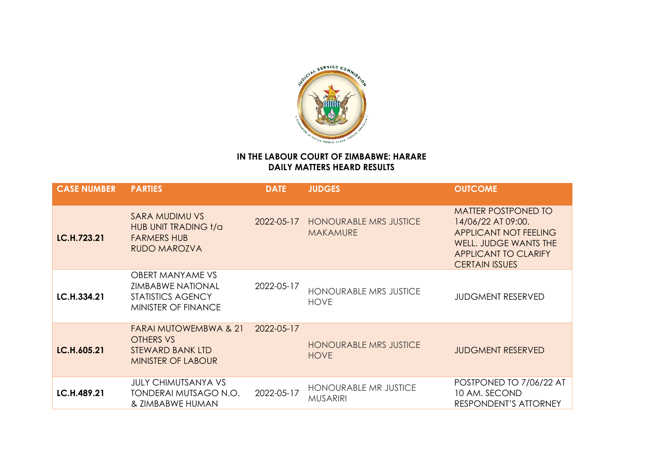

## **IN THE LABOUR COURT OF ZIMBABWE: HARARE DAILY MATTERS HEARD RESULTS**

| <b>CASE NUMBER</b> | <b>PARTIES</b>                                                                                                | <b>DATE</b> | <b>JUDGES</b>                                    | <b>OUTCOME</b>                                                                                                                                                           |
|--------------------|---------------------------------------------------------------------------------------------------------------|-------------|--------------------------------------------------|--------------------------------------------------------------------------------------------------------------------------------------------------------------------------|
| LC.H.723.21        | <b>SARA MUDIMU VS</b><br>HUB UNIT TRADING t/a<br><b>FARMERS HUB</b><br><b>RUDO MAROZVA</b>                    | 2022-05-17  | <b>HONOURABLE MRS JUSTICE</b><br><b>MAKAMURE</b> | <b>MATTER POSTPONED TO</b><br>14/06/22 AT 09:00.<br><b>APPLICANT NOT FEELING</b><br><b>WELL. JUDGE WANTS THE</b><br><b>APPLICANT TO CLARIFY</b><br><b>CERTAIN ISSUES</b> |
| LC.H.334.21        | <b>OBERT MANYAME VS</b><br><b>ZIMBABWE NATIONAL</b><br><b>STATISTICS AGENCY</b><br><b>MINISTER OF FINANCE</b> | 2022-05-17  | <b>HONOURABLE MRS JUSTICE</b><br><b>HOVE</b>     | <b>JUDGMENT RESERVED</b>                                                                                                                                                 |
| LC.H.605.21        | <b>FARAI MUTOWEMBWA &amp; 21</b><br>OTHERS VS<br>STEWARD BANK LTD<br><b>MINISTER OF LABOUR</b>                | 2022-05-17  | <b>HONOURABLE MRS JUSTICE</b><br><b>HOVE</b>     | <b>JUDGMENT RESERVED</b>                                                                                                                                                 |
| LC.H.489.21        | <b>JULY CHIMUTSANYA VS</b><br>TONDERAI MUTSAGO N.O.<br>& ZIMBABWE HUMAN                                       | 2022-05-17  | <b>HONOURABLE MR JUSTICE</b><br><b>MUSARIRI</b>  | POSTPONED TO 7/06/22 AT<br>10 AM. SECOND<br><b>RESPONDENT'S ATTORNEY</b>                                                                                                 |